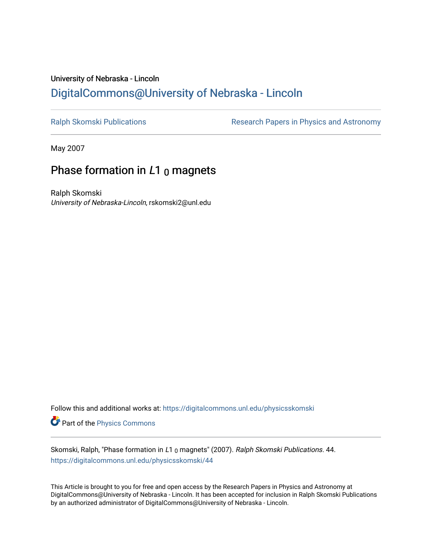# University of Nebraska - Lincoln [DigitalCommons@University of Nebraska - Lincoln](https://digitalcommons.unl.edu/)

[Ralph Skomski Publications](https://digitalcommons.unl.edu/physicsskomski) **Research Papers in Physics and Astronomy** 

May 2007

# Phase formation in  $L1_0$  magnets

Ralph Skomski University of Nebraska-Lincoln, rskomski2@unl.edu

Follow this and additional works at: [https://digitalcommons.unl.edu/physicsskomski](https://digitalcommons.unl.edu/physicsskomski?utm_source=digitalcommons.unl.edu%2Fphysicsskomski%2F44&utm_medium=PDF&utm_campaign=PDFCoverPages) 

Part of the [Physics Commons](http://network.bepress.com/hgg/discipline/193?utm_source=digitalcommons.unl.edu%2Fphysicsskomski%2F44&utm_medium=PDF&utm_campaign=PDFCoverPages)

Skomski, Ralph, "Phase formation in L1 0 magnets" (2007). Ralph Skomski Publications. 44. [https://digitalcommons.unl.edu/physicsskomski/44](https://digitalcommons.unl.edu/physicsskomski/44?utm_source=digitalcommons.unl.edu%2Fphysicsskomski%2F44&utm_medium=PDF&utm_campaign=PDFCoverPages)

This Article is brought to you for free and open access by the Research Papers in Physics and Astronomy at DigitalCommons@University of Nebraska - Lincoln. It has been accepted for inclusion in Ralph Skomski Publications by an authorized administrator of DigitalCommons@University of Nebraska - Lincoln.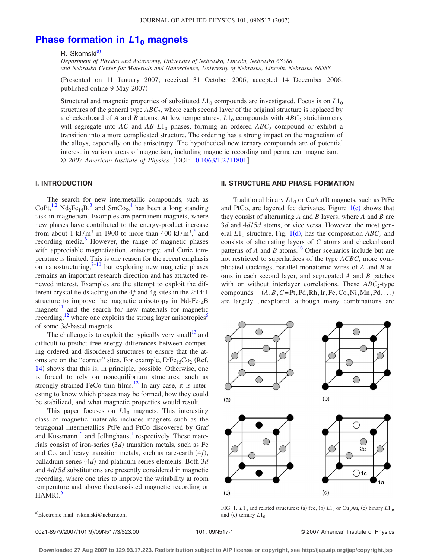## **[Phase formation in](http://dx.doi.org/10.1063/1.2711801)**  $L1_0$  **magnets**

R. Skomski<sup>a)</sup>

*Department of Physics and Astronomy, University of Nebraska, Lincoln, Nebraska 68588 and Nebraska Center for Materials and Nanoscience, University of Nebraska, Lincoln, Nebraska 68588*

Presented on 11 January 2007; received 31 October 2006; accepted 14 December 2006; published online 9 May 2007)

Structural and magnetic properties of substituted  $L1_0$  compounds are investigated. Focus is on  $L1_0$ structures of the general type  $ABC_2$ , where each second layer of the original structure is replaced by a checkerboard of *A* and *B* atoms. At low temperatures,  $L1_0$  compounds with  $ABC_2$  stoichiometry will segregate into  $AC$  and  $AB L1_0$  phases, forming an ordered  $ABC_2$  compound or exhibit a transition into a more complicated structure. The ordering has a strong impact on the magnetism of the alloys, especially on the anisotropy. The hypothetical new ternary compounds are of potential interest in various areas of magnetism, including magnetic recording and permanent magnetism. © 2007 American Institute of Physics. [DOI: [10.1063/1.2711801](http://dx.doi.org/10.1063/1.2711801)]

#### **I. INTRODUCTION**

The search for new intermetallic compounds, such as CoPt,<sup>1,[2](#page-3-1)</sup> Nd<sub>2</sub>Fe<sub>1[4](#page-3-3)</sub>B,<sup>3</sup> and SmCo<sub>5</sub>,<sup>4</sup> has been a long standing task in magnetism. Examples are permanent magnets, where new phases have contributed to the energy-product increase from about 1  $kJ/m^3$  in 1900 to more than 400 kJ/m<sup>3</sup>,<sup>[5](#page-3-4)</sup> and recording media.<sup>6</sup> However, the range of magnetic phases with appreciable magnetization, anisotropy, and Curie temperature is limited. This is one reason for the recent emphasis on nanostructuring, $7-10$  but exploring new magnetic phases remains an important research direction and has attracted renewed interest. Examples are the attempt to exploit the different crystal fields acting on the 4*f* and 4*g* sites in the 2:14:1 structure to improve the magnetic anisotropy in  $Nd_2Fe_{14}B$ magnets<sup>11</sup> and the search for new materials for magnetic recording,<sup>12</sup> where one exploits the strong layer anisotropies<sup>5</sup> of some 3*d*-based magnets.

The challenge is to exploit the typically very small<sup>13</sup> and difficult-to-predict free-energy differences between competing ordered and disordered structures to ensure that the atoms are on the "correct" sites. For example,  $E r Fe_{15}Co_2$  (Ref. [14](#page-3-11)) shows that this is, in principle, possible. Otherwise, one is forced to rely on nonequilibrium structures, such as strongly strained FeCo thin films.<sup>12</sup> In any case, it is interesting to know which phases may be formed, how they could be stabilized, and what magnetic properties would result.

This paper focuses on  $L1_0$  magnets. This interesting class of magnetic materials includes magnets such as the tetragonal intermetallics PtFe and PtCo discovered by Graf and Kussmann<sup>15</sup> and Jellinghaus,<sup>1</sup> respectively. These materials consist of iron-series (3*d*) transition metals, such as Fe and Co, and heavy transition metals, such as rare-earth (4f), palladium-series (4*d*) and platinum-series elements. Both 3*d* and 4*d*/5*d* substitutions are presently considered in magnetic recording, where one tries to improve the writability at room temperature and above heat-assisted magnetic recording or  $HAMR$ ).

### **II. STRUCTURE AND PHASE FORMATION**

Traditional binary  $L1_0$  or CuAu(I) magnets, such as PtFe and PtCo, are layered fcc derivates. Figure  $1(c)$  $1(c)$  shows that they consist of alternating *A* and *B* layers, where *A* and *B* are 3*d* and 4*d*/5*d* atoms, or vice versa. However, the most general  $L1_0$  $L1_0$  $L1_0$  structure, Fig. 1(d), has the composition  $ABC_2$  and consists of alternating layers of *C* atoms and checkerboard patterns of  $A$  and  $B$  atoms.<sup>16</sup> Other scenarios include but are not restricted to superlattices of the type *ACBC*, more complicated stackings, parallel monatomic wires of *A* and *B* atoms in each second layer, and segregated *A* and *B* patches with or without interlayer correlations. These *ABC*<sub>2</sub>-type compounds  $(A, B, C=Pt, Pd, Rh, Ir, Fe, Co, Ni, Mn, Pd, ...)$ are largely unexplored, although many combinations are

<span id="page-1-1"></span>

FIG. 1.  $L1_0$  and related structures: (a) fcc, (b)  $L1_2$  or Cu<sub>3</sub>Au, (c) binary  $L1_0$ , and (c) ternary  $L1_0$ .

<span id="page-1-0"></span>a)Electronic mail: rskomski@neb.rr.com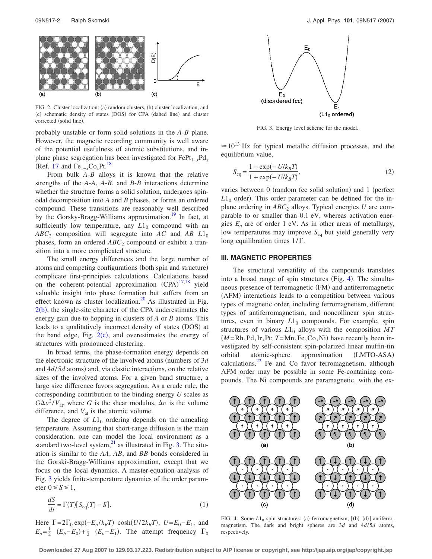<span id="page-2-0"></span>

FIG. 2. Cluster localization: (a) random clusters, (b) cluster localization, and (c) schematic density of states (DOS) for CPA (dahed line) and cluster corrected (solid line).

probably unstable or form solid solutions in the *A*-*B* plane. However, the magnetic recording community is well aware of the potential usefulness of atomic substitutions, and inplane phase segregation has been investigated for FePt<sub>1−*x*</sub>Pd<sub>*x*</sub>  $(Ref. 17$  $(Ref. 17$  and  $Fe<sub>1-r</sub>Co<sub>r</sub>Pt.<sup>18</sup>$ 

From bulk *A*-*B* alloys it is known that the relative strengths of the *A*-*A*, *A*-*B*, and *B*-*B* interactions determine whether the structure forms a solid solution, undergoes spinodal decomposition into *A* and *B* phases, or forms an ordered compound. These transitions are reasonably well described by the Gorsky-Bragg-Williams approximation.<sup>19</sup> In fact, at sufficiently low temperature, any  $L1_0$  compound with an  $ABC_2$  composition will segregate into *AC* and *AB L*1<sub>0</sub> phases, form an ordered *ABC*<sub>2</sub> compound or exhibit a transition into a more complicated structure.

The small energy differences and the large number of atoms and competing configurations (both spin and structure) complicate first-principles calculations. Calculations based on the coherent-potential approximation (CPA)<sup>[17](#page-3-14)[,18](#page-3-15)</sup> yield valuable insight into phase formation but suffers from an effect known as cluster localization. $^{20}$  As illustrated in Fig.  $2(b)$  $2(b)$ , the single-site character of the CPA underestimates the energy gain due to hopping in clusters of *A* or *B* atoms. This leads to a qualitatively incorrect density of states (DOS) at the band edge, Fig.  $2(c)$  $2(c)$ , and overestimates the energy of structures with pronounced clustering.

In broad terms, the phase-formation energy depends on the electronic structure of the involved atoms (numbers of 3*d*) and  $4d/5d$  atoms) and, via elastic interactions, on the relative sizes of the involved atoms. For a given band structure, a large size difference favors segregation. As a crude rule, the corresponding contribution to the binding energy *U* scales as  $G\Delta v^2/V_{at}$ , where *G* is the shear modulus,  $\Delta v$  is the volume difference, and  $V_{at}$  is the atomic volume.

The degree of  $L1_0$  ordering depends on the annealing temperature. Assuming that short-range diffusion is the main consideration, one can model the local environment as a standard two-level system, $^{21}$  as illustrated in Fig. [3.](#page-2-1) The situation is similar to the *AA*, *AB*, and *BB* bonds considered in the Gorski-Bragg-Williams approximation, except that we focus on the local dynamics. A master-equation analysis of Fig. [3](#page-2-1) yields finite-temperature dynamics of the order parameter  $0 \leq S \leq 1$ ,

$$
\frac{dS}{dt} = \Gamma(T)[S_{\text{eq}}(T) - S].\tag{1}
$$

Here  $\Gamma = 2\Gamma_0 \exp(-E_a/k_B T) \cosh(U/2k_B T)$ ,  $U = E_0 - E_1$ , and  $E_a = \frac{1}{2}$   $(E_b - E_0) + \frac{1}{2}$   $(E_b - E_1)$ . The attempt frequency  $\Gamma_0$ 

<span id="page-2-1"></span>

FIG. 3. Energy level scheme for the model.

 $\approx 10^{13}$  Hz for typical metallic diffusion processes, and the equilibrium value,

$$
S_{\text{eq}} = \frac{1 - \exp(-U/k_B T)}{1 + \exp(-U/k_B T)},
$$
\n(2)

varies between 0 (random fcc solid solution) and 1 (perfect  $L1_0$  order). This order parameter can be defined for the inplane ordering in  $ABC_2$  alloys. Typical energies *U* are comparable to or smaller than 0.1 eV, whereas activation energies  $E_a$  are of order 1 eV. As in other areas of metallurgy, low temperatures may improve S<sub>eq</sub> but yield generally very long equilibration times  $1/\Gamma$ .

#### **III. MAGNETIC PROPERTIES**

The structural versatility of the compounds translates into a broad range of spin structures (Fig. [4](#page-2-2)). The simultaneous presence of ferromagnetic (FM) and antiferromagnetic (AFM) interactions leads to a competition between various types of magnetic order, including ferromagnetism, different types of antiferromagnetism, and noncollinear spin structures, even in binary  $L1_0$  compounds. For example, spin structures of various  $L1_0$  alloys with the composition  $MT$  $(M = Rh, Pd, Ir, Pt; T = Mn, Fe, Co, Ni)$  have recently been investigated by self-consistent spin-polarized linear muffin-tin orbital atomic-sphere approximation (LMTO-ASA) calculations. $^{22}$  Fe and Co favor ferromagnetism, although AFM order may be possible in some Fe-containing compounds. The Ni compounds are paramagnetic, with the ex-

<span id="page-2-2"></span>

FIG. 4. Some  $L1_0$  spin structures: (a) ferromagnetism,  $[(b)-(d)]$  antiferromagnetism. The dark and bright spheres are 3*d* and 4*d*/5*d* atoms, respectively.